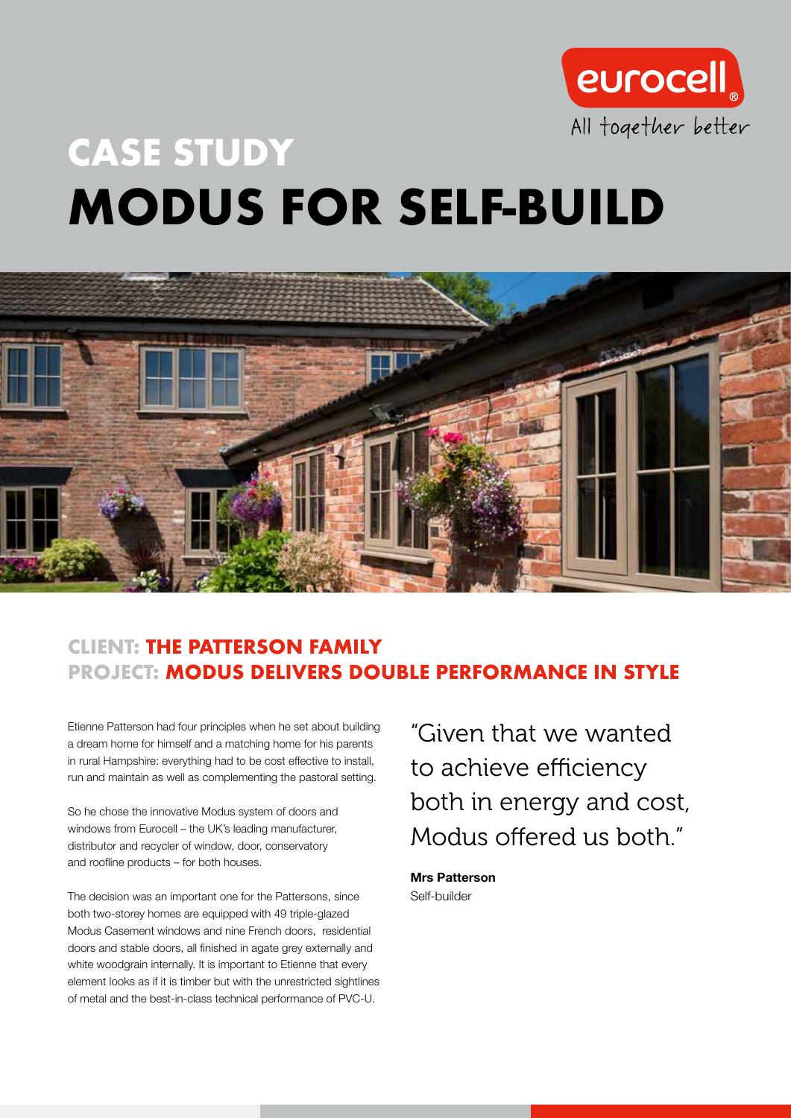

## CASE STUDY MODUS FOR SELF-BUILD



## CLIENT: THE PATTERSON FAMILY PROJECT: MODUS DELIVERS DOUBLE PERFORMANCE IN STYLE

Etienne Patterson had four principles when he set about building a dream home for himself and a matching home for his parents in rural Hampshire: everything had to be cost effective to install, run and maintain as well as complementing the pastoral setting.

So he chose the innovative Modus system of doors and windows from Eurocell – the UK's leading manufacturer, distributor and recycler of window, door, conservatory and roofline products – for both houses.

The decision was an important one for the Pattersons, since both two-storey homes are equipped with 49 triple-glazed Modus Casement windows and nine French doors, residential doors and stable doors, all finished in agate grey externally and white woodgrain internally. It is important to Etienne that every element looks as if it is timber but with the unrestricted sightlines of metal and the best-in-class technical performance of PVC-U.

"Given that we wanted to achieve efficiency both in energy and cost, Modus offered us both."

Mrs Patterson Self-builder